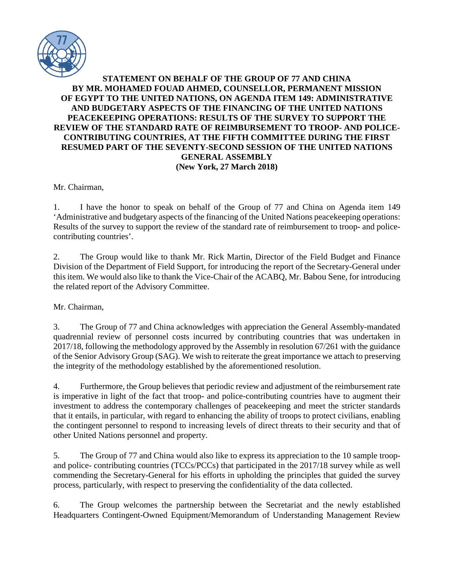

## **STATEMENT ON BEHALF OF THE GROUP OF 77 AND CHINA BY MR. MOHAMED FOUAD AHMED, COUNSELLOR, PERMANENT MISSION OF EGYPT TO THE UNITED NATIONS, ON AGENDA ITEM 149: ADMINISTRATIVE AND BUDGETARY ASPECTS OF THE FINANCING OF THE UNITED NATIONS PEACEKEEPING OPERATIONS: RESULTS OF THE SURVEY TO SUPPORT THE REVIEW OF THE STANDARD RATE OF REIMBURSEMENT TO TROOP- AND POLICE-CONTRIBUTING COUNTRIES, AT THE FIFTH COMMITTEE DURING THE FIRST RESUMED PART OF THE SEVENTY-SECOND SESSION OF THE UNITED NATIONS GENERAL ASSEMBLY (New York, 27 March 2018)**

Mr. Chairman,

1. I have the honor to speak on behalf of the Group of 77 and China on Agenda item 149 'Administrative and budgetary aspects of the financing of the United Nations peacekeeping operations: Results of the survey to support the review of the standard rate of reimbursement to troop- and policecontributing countries'.

2. The Group would like to thank Mr. Rick Martin, Director of the Field Budget and Finance Division of the Department of Field Support, for introducing the report of the Secretary-General under this item. We would also like to thank the Vice-Chair of the ACABQ, Mr. Babou Sene, for introducing the related report of the Advisory Committee.

Mr. Chairman,

3. The Group of 77 and China acknowledges with appreciation the General Assembly-mandated quadrennial review of personnel costs incurred by contributing countries that was undertaken in 2017/18, following the methodology approved by the Assembly in resolution 67/261 with the guidance of the Senior Advisory Group (SAG). We wish to reiterate the great importance we attach to preserving the integrity of the methodology established by the aforementioned resolution.

4. Furthermore, the Group believes that periodic review and adjustment of the reimbursement rate is imperative in light of the fact that troop- and police-contributing countries have to augment their investment to address the contemporary challenges of peacekeeping and meet the stricter standards that it entails, in particular, with regard to enhancing the ability of troops to protect civilians, enabling the contingent personnel to respond to increasing levels of direct threats to their security and that of other United Nations personnel and property.

5. The Group of 77 and China would also like to express its appreciation to the 10 sample troopand police- contributing countries (TCCs/PCCs) that participated in the 2017/18 survey while as well commending the Secretary-General for his efforts in upholding the principles that guided the survey process, particularly, with respect to preserving the confidentiality of the data collected.

6. The Group welcomes the partnership between the Secretariat and the newly established Headquarters Contingent-Owned Equipment/Memorandum of Understanding Management Review